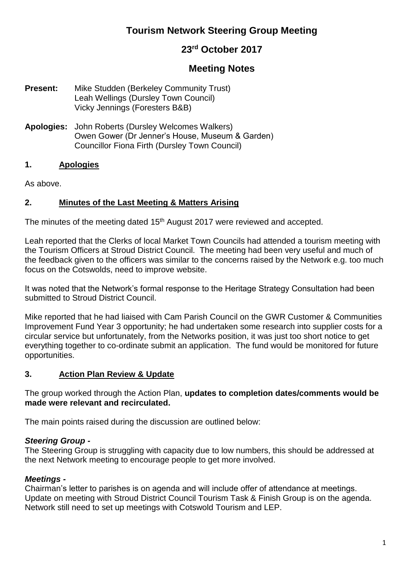# **Tourism Network Steering Group Meeting**

## **23rd October 2017**

# **Meeting Notes**

- **Present:** Mike Studden (Berkeley Community Trust) Leah Wellings (Dursley Town Council) Vicky Jennings (Foresters B&B)
- **Apologies:** John Roberts (Dursley Welcomes Walkers) Owen Gower (Dr Jenner's House, Museum & Garden) Councillor Fiona Firth (Dursley Town Council)

#### **1. Apologies**

As above.

#### **2. Minutes of the Last Meeting & Matters Arising**

The minutes of the meeting dated 15<sup>th</sup> August 2017 were reviewed and accepted.

Leah reported that the Clerks of local Market Town Councils had attended a tourism meeting with the Tourism Officers at Stroud District Council. The meeting had been very useful and much of the feedback given to the officers was similar to the concerns raised by the Network e.g. too much focus on the Cotswolds, need to improve website.

It was noted that the Network's formal response to the Heritage Strategy Consultation had been submitted to Stroud District Council.

Mike reported that he had liaised with Cam Parish Council on the GWR Customer & Communities Improvement Fund Year 3 opportunity; he had undertaken some research into supplier costs for a circular service but unfortunately, from the Networks position, it was just too short notice to get everything together to co-ordinate submit an application. The fund would be monitored for future opportunities.

#### **3. Action Plan Review & Update**

The group worked through the Action Plan, **updates to completion dates/comments would be made were relevant and recirculated.**

The main points raised during the discussion are outlined below:

#### *Steering Group -*

The Steering Group is struggling with capacity due to low numbers, this should be addressed at the next Network meeting to encourage people to get more involved.

#### *Meetings -*

Chairman's letter to parishes is on agenda and will include offer of attendance at meetings. Update on meeting with Stroud District Council Tourism Task & Finish Group is on the agenda. Network still need to set up meetings with Cotswold Tourism and LEP.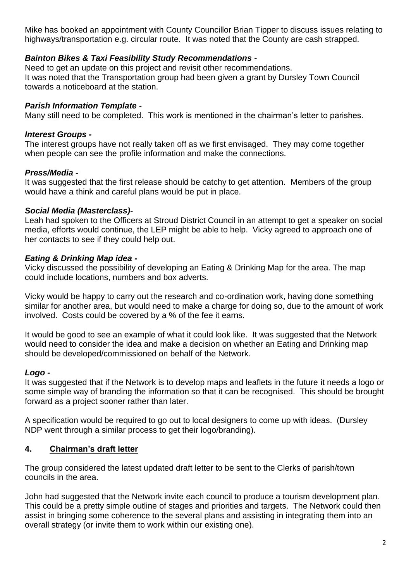Mike has booked an appointment with County Councillor Brian Tipper to discuss issues relating to highways/transportation e.g. circular route. It was noted that the County are cash strapped.

#### *Bainton Bikes & Taxi Feasibility Study Recommendations -*

Need to get an update on this project and revisit other recommendations. It was noted that the Transportation group had been given a grant by Dursley Town Council towards a noticeboard at the station.

### *Parish Information Template -*

Many still need to be completed. This work is mentioned in the chairman's letter to parishes.

#### *Interest Groups -*

The interest groups have not really taken off as we first envisaged. They may come together when people can see the profile information and make the connections.

### *Press/Media -*

It was suggested that the first release should be catchy to get attention. Members of the group would have a think and careful plans would be put in place.

#### *Social Media (Masterclass)-*

Leah had spoken to the Officers at Stroud District Council in an attempt to get a speaker on social media, efforts would continue, the LEP might be able to help. Vicky agreed to approach one of her contacts to see if they could help out.

### *Eating & Drinking Map idea -*

Vicky discussed the possibility of developing an Eating & Drinking Map for the area. The map could include locations, numbers and box adverts.

Vicky would be happy to carry out the research and co-ordination work, having done something similar for another area, but would need to make a charge for doing so, due to the amount of work involved. Costs could be covered by a % of the fee it earns.

It would be good to see an example of what it could look like. It was suggested that the Network would need to consider the idea and make a decision on whether an Eating and Drinking map should be developed/commissioned on behalf of the Network.

#### *Logo -*

It was suggested that if the Network is to develop maps and leaflets in the future it needs a logo or some simple way of branding the information so that it can be recognised. This should be brought forward as a project sooner rather than later.

A specification would be required to go out to local designers to come up with ideas. (Dursley NDP went through a similar process to get their logo/branding).

## **4. Chairman's draft letter**

The group considered the latest updated draft letter to be sent to the Clerks of parish/town councils in the area.

John had suggested that the Network invite each council to produce a tourism development plan. This could be a pretty simple outline of stages and priorities and targets. The Network could then assist in bringing some coherence to the several plans and assisting in integrating them into an overall strategy (or invite them to work within our existing one).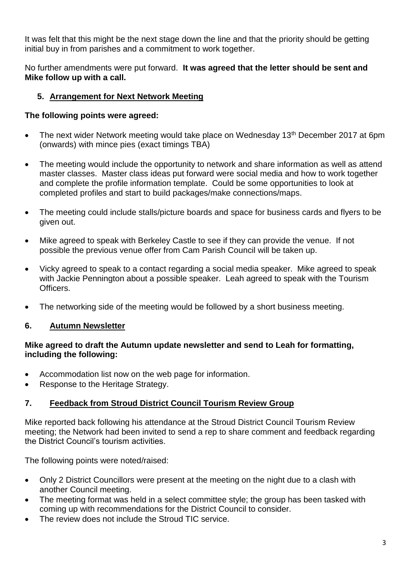It was felt that this might be the next stage down the line and that the priority should be getting initial buy in from parishes and a commitment to work together.

No further amendments were put forward. **It was agreed that the letter should be sent and Mike follow up with a call.**

## **5. Arrangement for Next Network Meeting**

## **The following points were agreed:**

- The next wider Network meeting would take place on Wednesday 13<sup>th</sup> December 2017 at 6pm (onwards) with mince pies (exact timings TBA)
- The meeting would include the opportunity to network and share information as well as attend master classes. Master class ideas put forward were social media and how to work together and complete the profile information template. Could be some opportunities to look at completed profiles and start to build packages/make connections/maps.
- The meeting could include stalls/picture boards and space for business cards and flyers to be given out.
- Mike agreed to speak with Berkeley Castle to see if they can provide the venue. If not possible the previous venue offer from Cam Parish Council will be taken up.
- Vicky agreed to speak to a contact regarding a social media speaker. Mike agreed to speak with Jackie Pennington about a possible speaker. Leah agreed to speak with the Tourism Officers.
- The networking side of the meeting would be followed by a short business meeting.

## **6. Autumn Newsletter**

#### **Mike agreed to draft the Autumn update newsletter and send to Leah for formatting, including the following:**

- Accommodation list now on the web page for information.
- Response to the Heritage Strategy.

## **7. Feedback from Stroud District Council Tourism Review Group**

Mike reported back following his attendance at the Stroud District Council Tourism Review meeting; the Network had been invited to send a rep to share comment and feedback regarding the District Council's tourism activities.

The following points were noted/raised:

- Only 2 District Councillors were present at the meeting on the night due to a clash with another Council meeting.
- The meeting format was held in a select committee style; the group has been tasked with coming up with recommendations for the District Council to consider.
- The review does not include the Stroud TIC service.